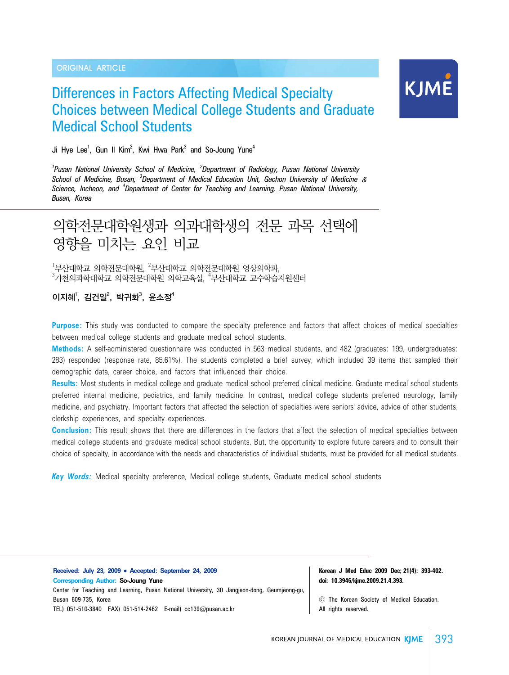#### ORIGINAL ARTICLE

# Differences in Factors Affecting Medical Specialty Choices between Medical College Students and Graduate Medical School Students



Ji Hye Lee<sup>1</sup>, Gun II Kim<sup>2</sup>, Kwi Hwa Park<sup>3</sup> and So-Joung Yune<sup>4</sup>

<sup>1</sup> Pusan National University School of Medicine, <sup>2</sup> Department of Radiology, Pusan National University *School of Medicine, Busan, <sup>3</sup> Department of Medical Education Unit, Gachon University of Medicine* & *Science, Incheon, and <sup>4</sup> Department of Center for Teaching and Learning, Pusan National University, Busan, Korea*

# 의학전문대학원생과 의과대학생의 전문 과목 선택에 영향을 미치는 요인 비교

 $^{1}$ 부산대학교 의학전문대학교 의학전문대학원 영상의학과,  $^3$ 가천의과학대학교 의학전문대학원 의학교육실,  $^4$ 부산대학교 교수학습지원센터

이지혜, 김건일<sup>2</sup>, 박귀화<sup>3</sup>, 윤소정<sup>4</sup>

**Purpose:** This study was conducted to compare the specialty preference and factors that affect choices of medical specialties between medical college students and graduate medical school students.

**Methods:** A self-administered questionnaire was conducted in 563 medical students, and 482 (graduates: 199, undergraduates: 283) responded (response rate, 85.61%). The students completed a brief survey, which included 39 items that sampled their demographic data, career choice, and factors that influenced their choice.

**Results:** Most students in medical college and graduate medical school preferred clinical medicine. Graduate medical school students preferred internal medicine, pediatrics, and family medicine. In contrast, medical college students preferred neurology, family medicine, and psychiatry. Important factors that affected the selection of specialties were seniors' advice, advice of other students, clerkship experiences, and specialty experiences.

**Conclusion:** This result shows that there are differences in the factors that affect the selection of medical specialties between medical college students and graduate medical school students. But, the opportunity to explore future careers and to consult their choice of specialty, in accordance with the needs and characteristics of individual students, must be provided for all medical students.

*Key Words:* Medical specialty preference, Medical college students, Graduate medical school students

**Received: July 23, 2009** • **Accepted: September 24, 2009 Corresponding Author: So-Joung Yune** Center for Teaching and Learning, Pusan National University, 30 Jangjeon-dong, Geumjeong-gu, Busan 609-735, Korea TEL) 051-510-3840 FAX) 051-514-2462 E-mail) cc139@pusan.ac.kr

**Korean J Med Educ 2009 Dec; 21(4): 393-402. doi: 10.3946/kjme.2009.21.4.393.**

Ⓒ The Korean Society of Medical Education. All rights reserved.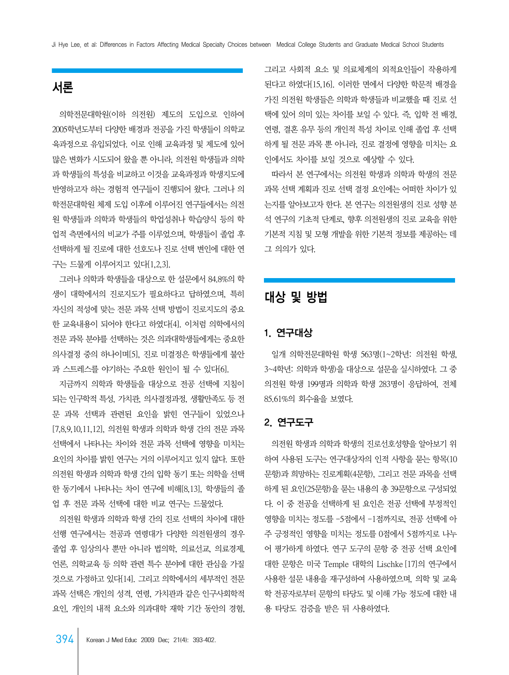# 서론

 의학전문대학원(이하 의전원) 제도의 도입으로 인하여 2005학년도부터 다양한 배경과 전공을 가진 학생들이 의학교 육과정으로 유입되었다. 이로 인해 교육과정 및 제도에 있어 많은 변화가 시도되어 왔을 뿐 아니라, 의전원 학생들과 의학 과 학생들의 특성을 비교하고 이것을 교육과정과 학생지도에 반영하고자 하는 경험적 연구들이 진행되어 왔다. 그러나 의 학전문대학원 체제 도입 이후에 이루어진 연구들에서는 의전 원 학생들과 의학과 학생들의 학업성취나 학습양식 등의 학 업적 측면에서의 비교가 주를 이루었으며, 학생들이 졸업 후 선택하게 될 진로에 대한 선호도나 진로 선택 변인에 대한 연 구는 드물게 이루어지고 있다[1,2,3].

 그러나 의학과 학생들을 대상으로 한 설문에서 84.8%의 학 생이 대학에서의 진로지도가 필요하다고 답하였으며, 특히 자신의 적성에 맞는 전문 과목 선택 방법이 진로지도의 중요 한 교육내용이 되어야 한다고 하였다[4]. 이처럼 의학에서의 전문 과목 분야를 선택하는 것은 의과대학생들에게는 중요한 의사결정 중의 하나이며[5], 진로 미결정은 학생들에게 불안 과 스트레스를 야기하는 주요한 원인이 될 수 있다[6].

 지금까지 의학과 학생들을 대상으로 전공 선택에 지침이 되는 인구학적 특성, 가치관, 의사결정과정, 생활만족도 등 전 문 과목 선택과 관련된 요인을 밝힌 연구들이 있었으나 [7,8,9,10,11,12], 의전원 학생과 의학과 학생 간의 전문 과목 선택에서 나타나는 차이와 전문 과목 선택에 영향을 미치는 요인의 차이를 밝힌 연구는 거의 이루어지고 있지 않다. 또한 의전원 학생과 의학과 학생 간의 입학 동기 또는 의학을 선택 한 동기에서 나타나는 차이 연구에 비해[8,13], 학생들의 졸 업 후 전문 과목 선택에 대한 비교 연구는 드물었다.

 의전원 학생과 의학과 학생 간의 진로 선택의 차이에 대한 선행 연구에서는 전공과 연령대가 다양한 의전원생의 경우 졸업 후 임상의사 뿐만 아니라 법의학, 의료선교, 의료경제, 언론, 의학교육 등 의학 관련 특수 분야에 대한 관심을 가질 것으로 가정하고 있다[14]. 그리고 의학에서의 세부적인 전문 과목 선택은 개인의 성격, 연령, 가치관과 같은 인구사회학적 요인, 개인의 내적 요소와 의과대학 재학 기간 동안의 경험,

그리고 사회적 요소 및 의료체계의 외적요인들이 작용하게 된다고 하였다[15,16]. 이러한 면에서 다양한 학문적 배경을 가진 의전원 학생들은 의학과 학생들과 비교했을 때 진로 선 택에 있어 의미 있는 차이를 보일 수 있다. 즉, 입학 전 배경, 연령, 결혼 유무 등의 개인적 특성 차이로 인해 졸업 후 선택 하게 될 전문 과목 뿐 아니라, 진로 결정에 영향을 미치는 요 인에서도 차이를 보일 것으로 예상할 수 있다.

 따라서 본 연구에서는 의전원 학생과 의학과 학생의 전문 과목 선택 계획과 진로 선택 결정 요인에는 어떠한 차이가 있 는지를 알아보고자 한다. 본 연구는 의전원생의 진로 성향 분 석 연구의 기초적 단계로, 향후 의전원생의 진로 교육을 위한 기본적 지침 및 모형 개발을 위한 기본적 정보를 제공하는 데 그 의의가 있다.

# 대상 및 방법

### 1. 연구대상

 일개 의학전문대학원 학생 563명(1~2학년: 의전원 학생, 3~4학년: 의학과 학생)을 대상으로 설문을 실시하였다. 그 중 의전원 학생 199명과 의학과 학생 283명이 응답하여, 전체 85.61%의 회수율을 보였다.

### 2. 연구도구

 의전원 학생과 의학과 학생의 진로선호성향을 알아보기 위 하여 사용된 도구는 연구대상자의 인적 사항을 묻는 항목(10 문항)과 희망하는 진로계획(4문항), 그리고 전문 과목을 선택 하게 된 요인(25문항)을 묻는 내용의 총 39문항으로 구성되었 다. 이 중 전공을 선택하게 된 요인은 전공 선택에 부정적인 영향을 미치는 정도를 -5점에서 -1점까지로, 전공 선택에 아 주 긍정적인 영향을 미치는 정도를 0점에서 5점까지로 나누 어 평가하게 하였다. 연구 도구의 문항 중 전공 선택 요인에 대한 문항은 미국 Temple 대학의 Lischke [17]의 연구에서 사용한 설문 내용을 재구성하여 사용하였으며, 의학 및 교육 학 전공자로부터 문항의 타당도 및 이해 가능 정도에 대한 내 용 타당도 검증을 받은 뒤 사용하였다.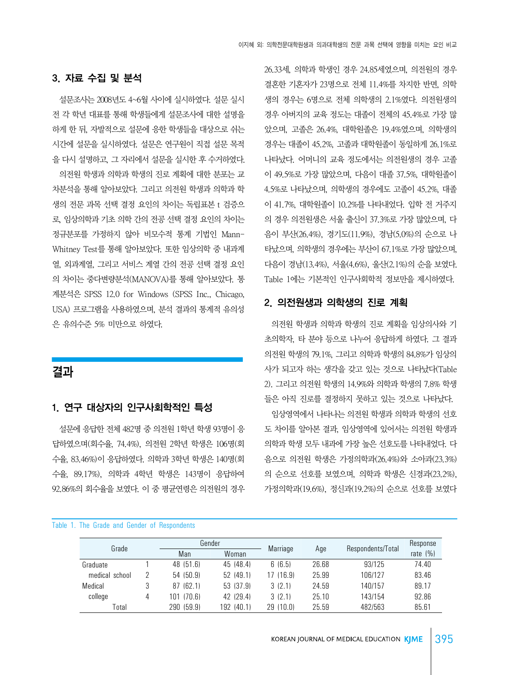### 3. 자료 수집 및 분석

 설문조사는 2008년도 4~6월 사이에 실시하였다. 설문 실시 전 각 학년 대표를 통해 학생들에게 설문조사에 대한 설명을 하게 한 뒤, 자발적으로 설문에 응한 학생들을 대상으로 쉬는 시간에 설문을 실시하였다. 설문은 연구원이 직접 설문 목적 을 다시 설명하고, 그 자리에서 설문을 실시한 후 수거하였다. 의전원 학생과 의학과 학생의 진로 계획에 대한 분포는 교 차분석을 통해 알아보았다. 그리고 의전원 학생과 의학과 학 생의 전문 과목 선택 결정 요인의 차이는 독립표본 t 검증으 로, 임상의학과 기초 의학 간의 전공 선택 결정 요인의 차이는 정규분포를 가정하지 않아 비모수적 통계 기법인 Mann-Whitney Test를 통해 알아보았다. 또한 임상의학 중 내과계 열, 외과계열, 그리고 서비스 계열 간의 전공 선택 결정 요인 의 차이는 중다변량분석(MANOVA)를 통해 알아보았다. 통 계분석은 SPSS 12.0 for Windows (SPSS Inc., Chicago, USA) 프로그램을 사용하였으며, 분석 결과의 통계적 유의성 은 유의수준 5% 미만으로 하였다.

# 결과

### 1. 연구 대상자의 인구사회학적인 특성

 설문에 응답한 전체 482명 중 의전원 1학년 학생 93명이 응 답하였으며(회수율, 74.4%), 의전원 2학년 학생은 106명(회 수율, 83.46%)이 응답하였다. 의학과 3학년 학생은 140명(회 수율, 89.17%), 의학과 4학년 학생은 143명이 응답하여 92.86%의 회수율을 보였다. 이 중 평균연령은 의전원의 경우

26.33세, 의학과 학생인 경우 24.85세였으며, 의전원의 경우 결혼한 기혼자가 23명으로 전체 11.4%를 차지한 반면, 의학 생의 경우는 6명으로 전체 의학생의 2.1%였다. 의전원생의 경우 아버지의 교육 정도는 대졸이 전체의 45.4%로 가장 많 았으며, 고졸은 26.4%, 대학원졸은 19.4%였으며, 의학생의 경우는 대졸이 45.2%, 고졸과 대학원졸이 동일하게 26.1%로 나타났다. 어머니의 교육 정도에서는 의전원생의 경우 고졸 이 49.5%로 가장 많았으며, 다음이 대졸 37.5%, 대학원졸이 4.5%로 나타났으며, 의학생의 경우에도 고졸이 45.2%, 대졸 이 41.7%, 대학원졸이 10.2%를 나타내었다. 입학 전 거주지 의 경우 의전원생은 서울 출신이 37.3%로 가장 많았으며, 다 음이 부산(26.4%), 경기도(11.9%), 경남(5.0%)의 순으로 나 타났으며, 의학생의 경우에는 부산이 67.1%로 가장 많았으며, 다음이 경남(13.4%), 서울(4.6%), 울산(2.1%)의 순을 보였다. Table 1에는 기본적인 인구사회학적 정보만을 제시하였다.

#### 2. 의전원생과 의학생의 진로 계획

 의전원 학생과 의학과 학생의 진로 계획을 임상의사와 기 초의학자, 타 분야 등으로 나누어 응답하게 하였다. 그 결과 의전원 학생의 79.1%, 그리고 의학과 학생의 84.8%가 임상의 사가 되고자 하는 생각을 갖고 있는 것으로 나타났다(Table 2). 그리고 의전원 학생의 14.9%와 의학과 학생의 7.8% 학생 들은 아직 진로를 결정하지 못하고 있는 것으로 나타났다.

 임상영역에서 나타나는 의전원 학생과 의학과 학생의 선호 도 차이를 알아본 결과, 임상영역에 있어서는 의전원 학생과 의학과 학생 모두 내과에 가장 높은 선호도를 나타내었다. 다 음으로 의전원 학생은 가정의학과(26.4%)와 소아과(23.3%) 의 순으로 선호를 보였으며, 의학과 학생은 신경과(23.2%), 가정의학과(19.6%), 정신과(19.2%)의 순으로 선호를 보였다

#### Table 1. The Grade and Gender of Respondents

|   | Gender     |            |           |          |         | Response          |
|---|------------|------------|-----------|----------|---------|-------------------|
|   | Man        | Woman      |           |          |         | rate $(\% )$      |
|   | 48 (51.6)  | 45 (48.4)  | 6(6.5)    | 26.68    | 93/125  | 74.40             |
| 2 | 54 (50.9)  | 52(49.1)   | 17 (16.9) | 25.99    | 106/127 | 83.46             |
|   | 87 (62.1)  | 53 (37.9)  | 3(2.1)    | 24.59    | 140/157 | 89.17             |
| 4 | 101 (70.6) | 42 (29.4)  | 3(2.1)    | 25.10    | 143/154 | 92.86             |
|   | 290 (59.9) | 192 (40.1) | 29(10.0)  | 25.59    | 482/563 | 85.61             |
|   |            |            |           | Marriage | Age     | Respondents/Total |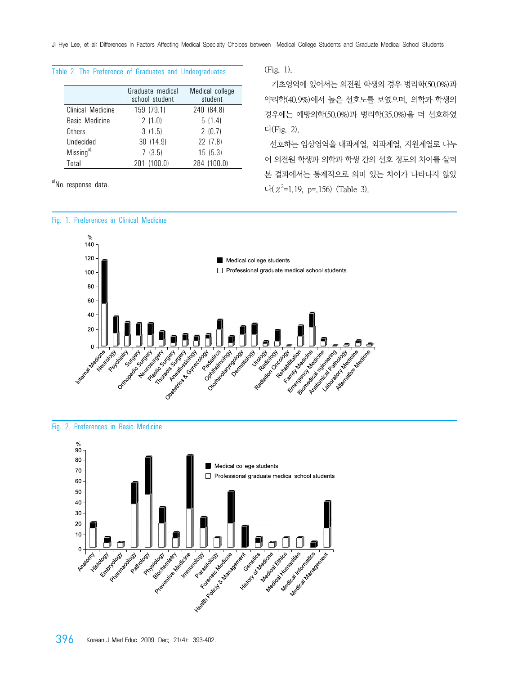Ji Hye Lee, et al: Differences in Factors Affecting Medical Specialty Choices between Medical College Students and Graduate Medical School Students

#### Table 2. The Preference of Graduates and Undergraduates

|                       | Graduate medical<br>school student | Medical college<br>student |
|-----------------------|------------------------------------|----------------------------|
| Clinical Medicine     | 159 (79.1)                         | 240 (84.8)                 |
| Basic Medicine        | 2(1.0)                             | 5(1.4)                     |
| Others                | 3(1.5)                             | 2(0.7)                     |
| Undecided             | 30 (14.9)                          | 22(7.8)                    |
| Missing <sup>a)</sup> | 7(3.5)                             | 15(5.3)                    |
| Total                 | 201 (100.0)                        | 284 (100.0)                |

a)No response data.



(Fig. 1).

 기초영역에 있어서는 의전원 학생의 경우 병리학(50.0%)과 약리학(40.9%)에서 높은 선호도를 보였으며, 의학과 학생의 경우에는 예방의학(50.0%)과 병리학(35.0%)을 더 선호하였 다(Fig. 2).

 선호하는 임상영역을 내과계열, 외과계열, 지원계열로 나누 어 의전원 학생과 의학과 학생 간의 선호 정도의 차이를 살펴 본 결과에서는 통계적으로 의미 있는 차이가 나타나지 않았  $\Gamma$ <sup>2</sup>=1.19, p=.156) (Table 3).



Fig. 2. Preferences in Basic Medicine

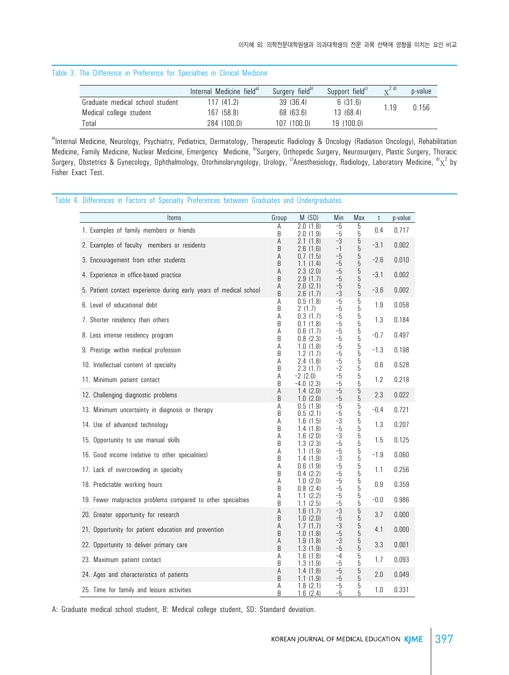#### Table 3. The Difference in Preference for Specialties in Clinical Medicine

|                                 | Internal Medicine field <sup>a)</sup> | Surgery field <sup>b)</sup> | Support field <sup>cl</sup> | 2 d  | p-value |
|---------------------------------|---------------------------------------|-----------------------------|-----------------------------|------|---------|
| Graduate medical school student | 117(41.2)                             | 39 (36.4)                   | 6 (31.6)                    | 1.19 | 0.156   |
| Medical college student         | 167 (58.8)                            | 68 (63.6)                   | 13(68.4)                    |      |         |
| Total                           | 284 (100.0)                           | 107(100.0)                  | 19(100.0)                   |      |         |

a)Internal Medicine, Neurology, Psychiatry, Pediatrics, Dermatology, Therapeutic Radiology & Oncology (Radiation Oncology), Rehabilitation Medicine, Family Medicine, Nuclear Medicine, Emergency Medicine, b)Surgery, Orthopedic Surgery, Neurosurgery, Plastic Surgery, Thoracic Surgery, Obstetrics & Gynecology, Ophthalmology, Otorhinolaryngology, Urology, <sup>c)</sup>Anesthesiology, Radiology, Laboratory Medicine, <sup>d)</sup>x<sup>2</sup> by Fisher Exact Test.

Table 4. Differences in Factors of Specialty Preferences between Graduates and Undergraduates

| Items                                                              | Group  | M (SD)                       | Min          | Max              | t       | p-value |
|--------------------------------------------------------------------|--------|------------------------------|--------------|------------------|---------|---------|
| 1. Examples of family members or friends                           | А<br>B | 2.0(1.8)<br>2.0 (1.9)        | $-5$<br>$-5$ | 5<br>5           | 0.4     | 0.717   |
| 2. Examples of faculty members or residents                        | Α<br>B | 2.1(1.8)<br>2.6 (1.6)        | -3<br>-1     | 5<br>5           | $-3.1$  | 0.002   |
| 3. Encouragement from other students                               | Α      | 0.7(1.5)                     | -5           | 5                | $-2.6$  | 0.010   |
| 4. Experience in office-based practice                             | B<br>A | (1.4)<br>1.1<br>2.3<br>(2.0) | $-5$<br>-5   | 5<br>5           | $-3.1$  | 0.002   |
|                                                                    | B<br>Α | 2.9(1.7)<br>2.0(2.1)         | -5<br>$-5$   | 5<br>5           |         |         |
| 5. Patient contact experience during early years of medical school | B      | 2.6(1.7)                     | $-3$         | 5                | $-3.6$  | 0.002   |
| 6. Level of educational debt                                       | Α<br>B | 0.5(1.8)<br>2 (1.7)          | $-5$<br>-5   | 5<br>5           | 1.9     | 0.058   |
| 7. Shorter residency than others                                   | Α<br>B | 0.3(1.7)<br>0.1(1.8)         | $-5$<br>$-5$ | 5<br>5           | 1.3     | 0.184   |
| 8. Less intense residency program                                  | Α<br>B | 0.6(1.7)<br>0.8(2.3)         | -5<br>-5     | 5<br>5           | $-0.7$  | 0.497   |
| 9. Prestige within medical profession                              | А      | 1.0(1.8)                     | $-5$         | 5<br>5           | $-1.3$  | 0.198   |
| 10. Intellectual content of specialty                              | B<br>Α | 1.2(1.7)<br>2.4(1.8)         | $-5$<br>$-5$ | 5                |         | 0.528   |
|                                                                    | B<br>Α | 2.3 (1.7)<br>$-2(2.0)$       | $-2$<br>$-5$ | 5<br>5           | 0.6     |         |
| 11. Minimum patient contact                                        | B      | $-4.0$ $(2.3)$               | $-5$         | 5                | 1.2     | 0.218   |
| 12. Challenging diagnostic problems                                | Α<br>B | 1.4(2.0)<br>1.0(2.0)         | -5<br>-5     | 5<br>5           | 2.3     | 0.022   |
| 13. Minimum uncertainty in diagnosis or therapy                    | А<br>B | 0.5(1.9)<br>0.5(2.1)         | -5<br>$-5$   | 5<br>5           | $-0.4$  | 0.721   |
| 14. Use of advanced technology                                     | Α<br>B | 1.6(1.5)<br>1.4(1.8)         | -3<br>$-5$   | 5<br>5           | 1.3     | 0.207   |
| 15. Opportunity to use manual skills                               | Α      | 1.6(2.0)                     | $-3$         | 5                | 1.5     | 0.125   |
| 16. Good income (relative to other specialities)                   | B<br>Α | 1.3(2.3)<br>1.1(1.9)         | $-5$<br>$-5$ | 5<br>5<br>5      | $-1.9$  | 0.060   |
|                                                                    | B<br>Α | 1.4(1.9)<br>0.6(1.9)         | -3<br>-5     | 5                |         |         |
| 17. Lack of overcrowding in specialty                              | B<br>Α | 0.4(2.2)<br>1.0(2.0)         | $-5$<br>$-5$ | 5                | 1.1     | 0.256   |
| 18. Predictable working hours                                      | B      | 0.8(2.4)                     | $-5$         | 5<br>5           | $0.9\,$ | 0.359   |
| 19. Fewer malpractice problems compared to other specialties       | Α<br>B | 1.1(2.2)<br>1.1(2.5)         | $-5$<br>$-5$ | $\mathbf 5$<br>5 | $-0.0$  | 0.986   |
| 20. Greater opportunity for research                               | А<br>B | 1.6(1.7)<br>1.0 (2.0)        | -3<br>$-5$   | 5<br>5           | 3.7     | 0.000   |
| 21. Opportunity for patient education and prevention               | Α<br>B | 1.7(1.7)<br>1.0(1.8)         | -3<br>$-5$   | 5<br>5           | 4.1     | 0.000   |
| 22. Opportunity to deliver primary care                            | Α<br>B | 1.9(1.8)<br>1.3(1.9)         | $-3$<br>-5   | 5                | 3.3     | 0.001   |
| 23. Maximum patient contact                                        | Α      | 1.6(1.8)                     | $-4$         | 5<br>5           | 1.7     | 0.093   |
| 24. Ages and characteristics of patients                           | B<br>Α | 1.3(1.9)<br>1.4(1.8)         | $-5$<br>$-5$ | 5<br>5           | 2.0     | 0.049   |
|                                                                    | B<br>A | 1.1 (1.9)<br>1.8(2.1)        | -5<br>-5     | 5<br>5           |         |         |
| 25. Time for family and leisure activities                         | B      | 1.6(2.4)                     | -5           | 5                | $1.0\,$ | 0.331   |

A: Graduate medical school student, B: Medical college student, SD: Standard deviation.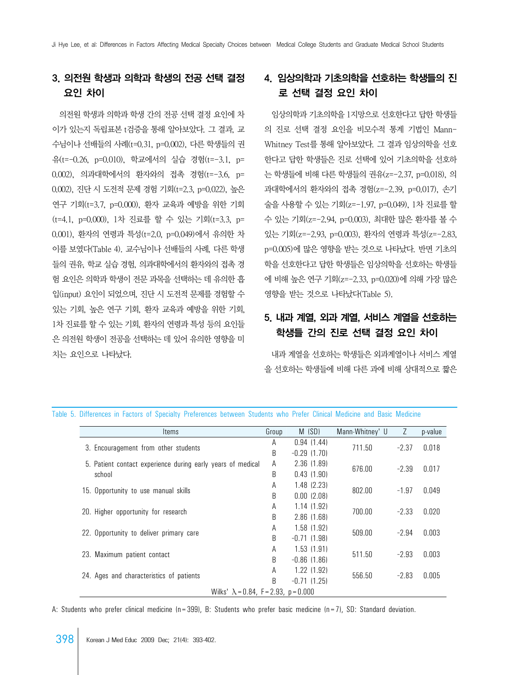## 3. 의전원 학생과 의학과 학생의 전공 선택 결정 요인 차이

 의전원 학생과 의학과 학생 간의 전공 선택 결정 요인에 차 이가 있는지 독립표본 t검증을 통해 알아보았다. 그 결과, 교 수님이나 선배들의 사례(t=0.31, p=0.002), 다른 학생들의 권 유(t=-0.26, p=0.010), 학교에서의 실습 경험(t=-3.1, p= 0.002), 의과대학에서의 환자와의 접촉 경험(t=-3.6, p= 0.002), 진단 시 도전적 문제 경험 기회(t=2.3, p=0.022), 높은 연구 기회(t=3.7, p=0.000), 환자 교육과 예방을 위한 기회 (t=4.1, p=0.000), 1차 진료를 할 수 있는 기회(t=3.3, p= 0.001), 환자의 연령과 특성(t=2.0, p=0.049)에서 유의한 차 이를 보였다(Table 4). 교수님이나 선배들의 사례, 다른 학생 들의 권유, 학교 실습 경험, 의과대학에서의 환자와의 접촉 경 험 요인은 의학과 학생이 전문 과목을 선택하는 데 유의한 흡 입(input) 요인이 되었으며, 진단 시 도전적 문제를 경험할 수 있는 기회, 높은 연구 기회, 환자 교육과 예방을 위한 기회, 1차 진료를 할 수 있는 기회, 환자의 연령과 특성 등의 요인들 은 의전원 학생이 전공을 선택하는 데 있어 유의한 영향을 미 치는 요인으로 나타났다.

## 4. 임상의학과 기초의학을 선호하는 학생들의 진 로 선택 결정 요인 차이

 임상의학과 기초의학을 1지망으로 선호한다고 답한 학생들 의 진로 선택 결정 요인을 비모수적 통계 기법인 Mann-Whitney Test를 통해 알아보았다. 그 결과 임상의학을 선호 한다고 답한 학생들은 진로 선택에 있어 기초의학을 선호하 는 학생들에 비해 다른 학생들의 권유(z=-2.37, p=0.018), 의 과대학에서의 환자와의 접촉 경험(z=-2.39, p=0.017), 손기 술을 사용할 수 있는 기회(z=-1.97, p=0.049), 1차 진료를 할 수 있는 기회(z=-2.94, p=0.003), 최대한 많은 환자를 볼 수 있는 기회(z=-2.93, p=0.003), 환자의 연령과 특성(z=-2.83, p=0.005)에 많은 영향을 받는 것으로 나타났다. 반면 기초의 학을 선호한다고 답한 학생들은 임상의학을 선호하는 학생들 에 비해 높은 연구 기회(z=-2.33, p=0.020)에 의해 가장 많은 영향을 받는 것으로 나타났다(Table 5).

### 5. 내과 계열, 외과 계열, 서비스 계열을 선호하는 학생들 간의 진로 선택 결정 요인 차이

 내과 계열을 선호하는 학생들은 외과계열이나 서비스 계열 을 선호하는 학생들에 비해 다른 과에 비해 상대적으로 짧은

| Items                                                       | Group | M(SD)           | Mann-Whitney' U | Z       | p-value |
|-------------------------------------------------------------|-------|-----------------|-----------------|---------|---------|
|                                                             | A     | 0.94(1.44)      | 711.50          | $-2.37$ | 0.018   |
| 3. Encouragement from other students                        | B     | $-0.29(1.70)$   |                 |         |         |
| 5. Patient contact experience during early years of medical | A     | 2.36(1.89)      | 676.00          | $-2.39$ | 0.017   |
| school                                                      | B     | 0.43(1.90)      |                 |         |         |
| 15. Opportunity to use manual skills                        | Α     | $1.48$ $(2.23)$ | 802.00          | $-1.97$ | 0.049   |
|                                                             | B     | 0.00(2.08)      |                 |         |         |
| 20. Higher opportunity for research                         | Α     | 1.14(1.92)      | 700.00          | $-2.33$ | 0.020   |
|                                                             | B     | 2.86(1.68)      |                 |         |         |
| 22. Opportunity to deliver primary care                     | Α     | $1.58$ (1.92)   | 509.00          | $-2.94$ | 0.003   |
|                                                             | B     | $-0.71(1.98)$   |                 |         |         |
| 23. Maximum patient contact                                 | Α     | 1.53(1.91)      | 511.50          | $-2.93$ | 0.003   |
|                                                             | R     | $-0.86$ (1.86)  |                 |         |         |
| 24. Ages and characteristics of patients                    | Α     | $1.22$ $(1.92)$ | 556.50          | $-2.83$ | 0.005   |
|                                                             | B     | $-0.71(1.25)$   |                 |         |         |
| Wilks' $\lambda = 0.84$ , F = 2.93, p = 0.000               |       |                 |                 |         |         |

Table 5. Differences in Factors of Specialty Preferences between Students who Prefer Clinical Medicine and Basic Medicine

A: Students who prefer clinical medicine (n=399), B: Students who prefer basic medicine (n=7), SD: Standard deviation.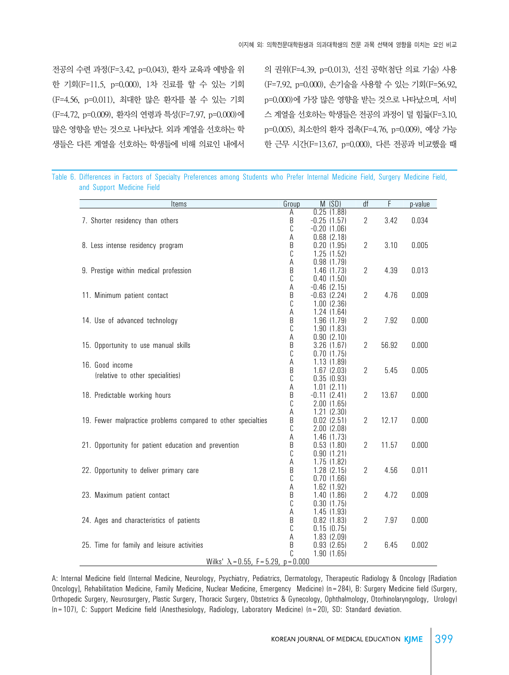전공의 수련 과정(F=3.42, p=0.043), 환자 교육과 예방을 위 한 기회(F=11.5, p=0.000), 1차 진료를 할 수 있는 기회 (F=4.56, p=0.011), 최대한 많은 환자를 볼 수 있는 기회 (F=4.72, p=0.009), 환자의 연령과 특성(F=7.97, p=0.000)에 많은 영향을 받는 것으로 나타났다. 외과 계열을 선호하는 학 생들은 다른 계열을 선호하는 학생들에 비해 의료인 내에서

의 권위(F=4.39, p=0.013), 선진 공학(첨단 의료 기술) 사용 (F=7.92, p=0.000), 손기술을 사용할 수 있는 기회(F=56.92, p=0.000)에 가장 많은 영향을 받는 것으로 나타났으며, 서비 스 계열을 선호하는 학생들은 전공의 과정이 덜 힘듦(F=3.10, p=0.005), 최소한의 환자 접촉(F=4.76, p=0.009), 예상 가능 한 근무 시간(F=13.67, p=0.000), 다른 전공과 비교했을 때

Table 6. Differences in Factors of Specialty Preferences among Students who Prefer Internal Medicine Field, Surgery Medicine Field, and Support Medicine Field

| Items                                                        | Group  | M(SD)                         | df             | F     | p-value |
|--------------------------------------------------------------|--------|-------------------------------|----------------|-------|---------|
|                                                              | Α      | 0.25(1.88)                    |                |       |         |
| 7. Shorter residency than others                             | B      | $-0.25$ (1.57)                | $\overline{2}$ | 3.42  | 0.034   |
|                                                              | С      | $-0.20$ $(1.06)$              |                |       |         |
|                                                              | А      | $0.68$ $(2.18)$               | $\overline{2}$ |       |         |
| 8. Less intense residency program                            | B<br>C | 0.20(1.95)<br>1.25(1.52)      |                | 3.10  | 0.005   |
|                                                              | А      | 0.98(1.79)                    |                |       |         |
| 9. Prestige within medical profession                        | B      | $1.46$ $(1.73)$               | $\overline{2}$ | 4.39  | 0.013   |
|                                                              | C      | 0.40(1.50)                    |                |       |         |
|                                                              | А      | $-0.46$ $(2.15)$              |                |       |         |
| 11. Minimum patient contact                                  | B      | $-0.63$ $(2.24)$              | 2              | 4.76  | 0.009   |
|                                                              | C      | $1.00$ $(2.36)$               |                |       |         |
|                                                              | А      | 1.24(1.64)                    |                |       |         |
| 14. Use of advanced technology                               | B      | 1.96(1.79)                    | $\overline{2}$ | 7.92  | 0.000   |
|                                                              | C      | 1.90(1.83)                    |                |       |         |
|                                                              | Α      | 0.90(2.10)                    |                |       |         |
| 15. Opportunity to use manual skills                         | B      | 3.26(1.67)                    | $\overline{2}$ | 56.92 | 0.000   |
|                                                              | С      | 0.70(1.75)                    |                |       |         |
| 16. Good income                                              | А      | 1.13(1.89)                    |                |       |         |
| (relative to other specialities)                             | B      | $1.67$ $(2.03)$               | $\overline{2}$ | 5.45  | 0.005   |
|                                                              | C      | 0.35(0.93)<br>$1.01$ $(2.11)$ |                |       |         |
| 18. Predictable working hours                                | Α<br>B | $-0.11$ $(2.41)$              | $\overline{2}$ | 13.67 | 0.000   |
|                                                              | C      | 2.00(1.65)                    |                |       |         |
|                                                              | А      | 1.21(2.30)                    |                |       |         |
| 19. Fewer malpractice problems compared to other specialties | B      | $0.02$ $(2.51)$               | $\overline{2}$ | 12.17 | 0.000   |
|                                                              | C      | $2.00$ $(2.08)$               |                |       |         |
|                                                              | А      | 1.46(1.73)                    |                |       |         |
| 21. Opportunity for patient education and prevention         | B      | 0.53(1.80)                    | $\overline{2}$ | 11.57 | 0.000   |
|                                                              | C      | 0.90(1.21)                    |                |       |         |
|                                                              | А      | 1.75 (1.82)                   |                |       |         |
| 22. Opportunity to deliver primary care                      | B      | 1.28 (2.15)                   | $\overline{2}$ | 4.56  | 0.011   |
|                                                              | C      | 0.70(1.66)                    |                |       |         |
|                                                              | A      | 1.62 (1.92)                   |                |       |         |
| 23. Maximum patient contact                                  | B      | 1.40(1.86)                    | $\overline{2}$ | 4.72  | 0.009   |
|                                                              | C      | 0.30(1.75)                    |                |       |         |
|                                                              | A      | 1.45(1.93)                    |                |       |         |
| 24. Ages and characteristics of patients                     | B      | $0.82$ $(1.83)$               | 2              | 7.97  | 0.000   |
|                                                              | C      | 0.15(0.75)                    |                |       |         |
| 25. Time for family and leisure activities                   | А      | 1.83(2.09)<br>0.93(2.65)      |                | 6.45  | 0.002   |
|                                                              | B<br>C | 1.90(1.65)                    | 2              |       |         |
| Wilks' $\lambda = 0.55$ , F = 5.29, p = 0.000                |        |                               |                |       |         |

A: Internal Medicine field (Internal Medicine, Neurology, Psychiatry, Pediatrics, Dermatology, Therapeutic Radiology & Oncology [Radiation Oncology], Rehabilitation Medicine, Family Medicine, Nuclear Medicine, Emergency Medicine) (n=284), B: Surgery Medicine field (Surgery, Orthopedic Surgery, Neurosurgery, Plastic Surgery, Thoracic Surgery, Obstetrics & Gynecology, Ophthalmology, Otorhinolaryngology, Urology) (n=107), C: Support Medicine field (Anesthesiology, Radiology, Laboratory Medicine) (n=20), SD: Standard deviation.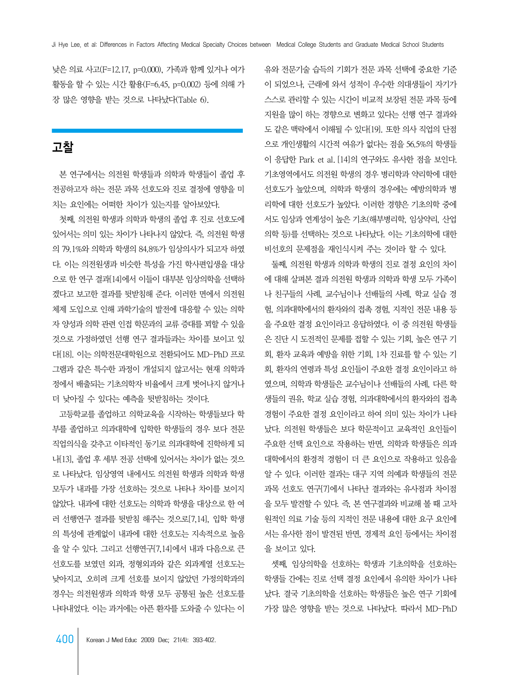낮은 의료 사고(F=12.17, p=0.000), 가족과 함께 있거나 여가 활동을 할 수 있는 시간 활용(F=6.45, p=0.002) 등에 의해 가 장 많은 영향을 받는 것으로 나타났다(Table 6).

## 고찰

 본 연구에서는 의전원 학생들과 의학과 학생들이 졸업 후 전공하고자 하는 전문 과목 선호도와 진로 결정에 영향을 미 치는 요인에는 어떠한 차이가 있는지를 알아보았다.

 첫째, 의전원 학생과 의학과 학생의 졸업 후 진로 선호도에 있어서는 의미 있는 차이가 나타나지 않았다. 즉, 의전원 학생 의 79.1%와 의학과 학생의 84.8%가 임상의사가 되고자 하였 다. 이는 의전원생과 비슷한 특성을 가진 학사편입생을 대상 으로 한 연구 결과[14]에서 이들이 대부분 임상의학을 선택하 겠다고 보고한 결과를 뒷받침해 준다. 이러한 면에서 의전원 체제 도입으로 인해 과학기술의 발전에 대응할 수 있는 의학 자 양성과 의학 관련 인접 학문과의 교류 증대를 꾀할 수 있을 것으로 가정하였던 선행 연구 결과들과는 차이를 보이고 있 다[18]. 이는 의학전문대학원으로 전환되어도 MD-PhD 프로 그램과 같은 특수한 과정이 개설되지 않고서는 현재 의학과 정에서 배출되는 기초의학자 비율에서 크게 벗어나지 않거나 더 낮아질 수 있다는 예측을 뒷받침하는 것이다.

 고등학교를 졸업하고 의학교육을 시작하는 학생들보다 학 부를 졸업하고 의과대학에 입학한 학생들의 경우 보다 전문 직업의식을 갖추고 이타적인 동기로 의과대학에 진학하게 되 나[13], 졸업 후 세부 전공 선택에 있어서는 차이가 없는 것으 로 나타났다. 임상영역 내에서도 의전원 학생과 의학과 학생 모두가 내과를 가장 선호하는 것으로 나타나 차이를 보이지 않았다. 내과에 대한 선호도는 의학과 학생을 대상으로 한 여 러 선행연구 결과를 뒷받침 해주는 것으로[7,14], 입학 학생 의 특성에 관계없이 내과에 대한 선호도는 지속적으로 높음 을 알 수 있다. 그리고 선행연구[7,14]에서 내과 다음으로 큰 선호도를 보였던 외과, 정형외과와 같은 외과계열 선호도는 낮아지고, 오히려 크게 선호를 보이지 않았던 가정의학과의 경우는 의전원생과 의학과 학생 모두 공통된 높은 선호도를 나타내었다. 이는 과거에는 아픈 환자를 도와줄 수 있다는 이 유와 전문기술 습득의 기회가 전문 과목 선택에 중요한 기준 이 되었으나, 근래에 와서 성적이 우수한 의대생들이 자기가 스스로 관리할 수 있는 시간이 비교적 보장된 전문 과목 등에 지원을 많이 하는 경향으로 변화고 있다는 선행 연구 결과와 도 같은 맥락에서 이해될 수 있다[19]. 또한 의사 직업의 단점 으로 개인생활의 시간적 여유가 없다는 점을 56.5%의 학생들 이 응답한 Park et al. [14]의 연구와도 유사한 점을 보인다. 기초영역에서도 의전원 학생의 경우 병리학과 약리학에 대한 선호도가 높았으며, 의학과 학생의 경우에는 예방의학과 병 리학에 대한 선호도가 높았다. 이러한 경향은 기초의학 중에 서도 임상과 연계성이 높은 기초(해부병리학, 임상약리, 산업 의학 등)를 선택하는 것으로 나타났다. 이는 기초의학에 대한 비선호의 문제점을 재인식시켜 주는 것이라 할 수 있다.

 둘째, 의전원 학생과 의학과 학생의 진로 결정 요인의 차이 에 대해 살펴본 결과 의전원 학생과 의학과 학생 모두 가족이 나 친구들의 사례, 교수님이나 선배들의 사례, 학교 실습 경 험, 의과대학에서의 환자와의 접촉 경험, 지적인 전문 내용 등 을 주요한 결정 요인이라고 응답하였다. 이 중 의전원 학생들 은 진단 시 도전적인 문제를 접할 수 있는 기회, 높은 연구 기 회, 환자 교육과 예방을 위한 기회, 1차 진료를 할 수 있는 기 회, 환자의 연령과 특성 요인들이 주요한 결정 요인이라고 하 였으며, 의학과 학생들은 교수님이나 선배들의 사례, 다른 학 생들의 권유, 학교 실습 경험, 의과대학에서의 환자와의 접촉 경험이 주요한 결정 요인이라고 하여 의미 있는 차이가 나타 났다. 의전원 학생들은 보다 학문적이고 교육적인 요인들이 주요한 선택 요인으로 작용하는 반면, 의학과 학생들은 의과 대학에서의 환경적 경험이 더 큰 요인으로 작용하고 있음을 알 수 있다. 이러한 결과는 대구 지역 의예과 학생들의 전문 과목 선호도 연구[7]에서 나타난 결과와는 유사점과 차이점 을 모두 발견할 수 있다. 즉, 본 연구결과와 비교해 볼 때 고차 원적인 의료 기술 등의 지적인 전문 내용에 대한 요구 요인에 서는 유사한 점이 발견된 반면, 경제적 요인 등에서는 차이점 을 보이고 있다.

 셋째, 임상의학을 선호하는 학생과 기초의학을 선호하는 학생들 간에는 진로 선택 결정 요인에서 유의한 차이가 나타 났다. 결국 기초의학을 선호하는 학생들은 높은 연구 기회에 가장 많은 영향을 받는 것으로 나타났다. 따라서 MD-PhD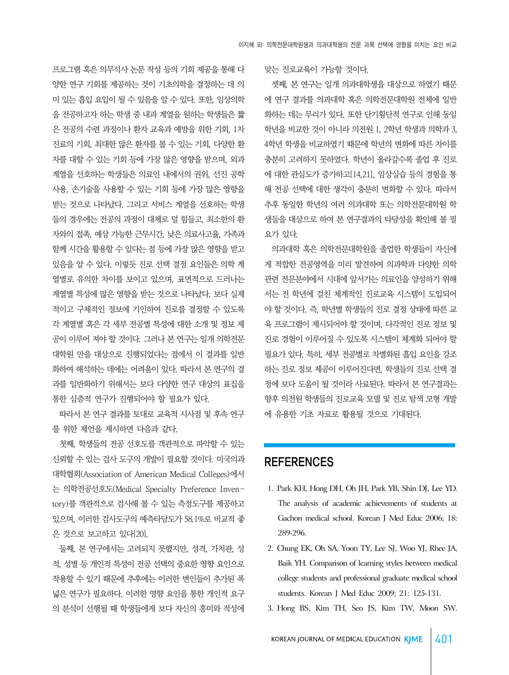프로그램 혹은 의무석사 논문 작성 등의 기회 제공을 통해 다 양한 연구 기회를 제공하는 것이 기초의학을 결정하는 데 의 미 있는 흡입 요입이 될 수 있음을 알 수 있다. 또한, 임상의학 을 전공하고자 하는 학생 중 내과 계열을 원하는 학생들은 짧 은 전공의 수련 과정이나 환자 교육과 예방을 위한 기회, 1차 진료의 기회, 최대한 많은 환자를 볼 수 있는 기회, 다양한 환 자를 대할 수 있는 기회 등에 가장 많은 영향을 받으며, 외과 계열을 선호하는 학생들은 의료인 내에서의 권위, 선진 공학 사용, 손기술을 사용할 수 있는 기회 등에 가장 많은 영향을 받는 것으로 나타났다. 그리고 서비스 계열을 선호하는 학생 들의 경우에는 전공의 과정이 대체로 덜 힘들고, 최소한의 환 자와의 접촉, 예상 가능한 근무시간, 낮은 의료사고율, 가족과 함께 시간을 활용할 수 있다는 점 등에 가장 많은 영향을 받고 있음을 알 수 있다. 이렇듯 진로 선택 결정 요인들은 의학 계 열별로 유의한 차이를 보이고 있으며, 표면적으로 드러나는 계열별 특성에 많은 영향을 받는 것으로 나타났다. 보다 실제 적이고 구체적인 정보에 기인하여 진로를 결정할 수 있도록 각 계열별 혹은 각 세부 전공별 특성에 대한 소개 및 정보 제 공이 이루어 져야 할 것이다. 그러나 본 연구는 일개 의학전문 대학원 만을 대상으로 진행되었다는 점에서 이 결과를 일반 화하여 해석하는 데에는 어려움이 있다. 따라서 본 연구의 결 과를 일반화하기 위해서는 보다 다양한 연구 대상의 표집을 통한 심층적 연구가 진행되어야 할 필요가 있다.

 따라서 본 연구 결과를 토대로 교육적 시사점 및 후속 연구 를 위한 제언을 제시하면 다음과 같다.

 첫째, 학생들의 전공 선호도를 객관적으로 파악할 수 있는 신뢰할 수 있는 검사 도구의 개발이 필요할 것이다. 미국의과 대학협회(Association of American Medical Colleges)에서 는 의학전공선호도(Medical Specialty Preference Inventory)를 객관적으로 검사해 볼 수 있는 측정도구를 제공하고 있으며, 이러한 검사도구의 예측타당도가 58.1%로 비교적 좋 은 것으로 보고하고 있다[20].

 둘째, 본 연구에서는 고려되지 못했지만, 성격, 가치관, 성 적, 성별 등 개인적 특성이 전공 선택의 중요한 영향 요인으로 작용할 수 있기 때문에 추후에는 이러한 변인들이 추가된 폭 넓은 연구가 필요하다. 이러한 영향 요인을 통한 개인적 요구 의 분석이 선행될 때 학생들에게 보다 자신의 흥미와 적성에 맞는 진로교육이 가능할 것이다.

 셋째, 본 연구는 일개 의과대학생을 대상으로 하였기 때문 에 연구 결과를 의과대학 혹은 의학전문대학원 전체에 일반 화하는 데는 무리가 있다. 또한 단기횡단적 연구로 인해 동일 학년을 비교한 것이 아니라 의전원 1, 2학년 학생과 의학과 3, 4학년 학생을 비교하였기 때문에 학년의 변화에 따른 차이를 충분히 고려하지 못하였다. 학년이 올라갈수록 졸업 후 진로 에 대한 관심도가 증가하고[14,21], 임상실습 등의 경험을 통 해 전공 선택에 대한 생각이 충분히 변화할 수 있다. 따라서 추후 동일한 학년의 여러 의과대학 또는 의학전문대학원 학 생들을 대상으로 하여 본 연구결과의 타당성을 확인해 볼 필 요가 있다.

 의과대학 혹은 의학전문대학원을 졸업한 학생들이 자신에 게 적합한 전공영역을 미리 발견하여 의과학과 다양한 의학 관련 전문분야에서 시대에 앞서가는 의료인을 양성하기 위해 서는 전 학년에 걸친 체계적인 진로교육 시스템이 도입되어 야 할 것이다. 즉, 학년별 학생들의 진로 결정 상태에 따른 교 육 프로그램이 제시되어야 할 것이며, 다각적인 진로 정보 및 진로 경험이 이루어질 수 있도록 시스템이 체계화 되어야 할 필요가 있다. 특히, 세부 전공별로 차별화된 흡입 요인을 강조 하는 진로 정보 제공이 이루어진다면, 학생들의 진로 선택 결 정에 보다 도움이 될 것이라 사료된다. 따라서 본 연구결과는 향후 의전원 학생들의 진로교육 모델 및 진로 탐색 모형 개발 에 유용한 기초 자료로 활용될 것으로 기대된다.

### **REFERENCES**

- 1. Park KH, Hong DH, Oh JH, Park YB, Shin DJ, Lee YD. The analysis of academic achievements of students at Gachon medical school. Korean J Med Educ 2006; 18: 289-296.
- 2. Chung EK, Oh SA, Yoon TY, Lee SJ, Woo YJ, Rhee JA, Baik YH. Comparison of learning styles between medical college students and professional graduate medical school students. Korean J Med Educ 2009; 21: 125-131.
- 3. Hong BS, Kim TH, Seo JS, Kim TW, Moon SW.